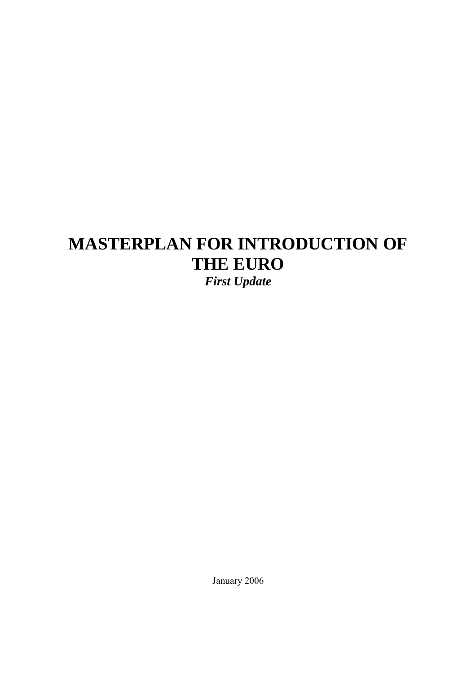# **MASTERPLAN FOR INTRODUCTION OF THE EURO**  *First Update*

January 2006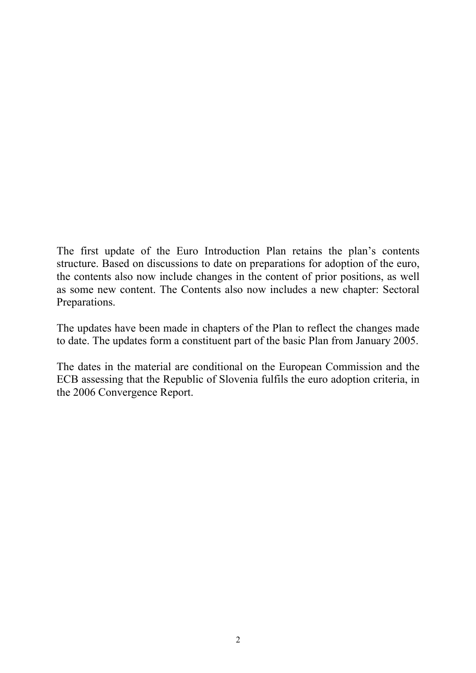The first update of the Euro Introduction Plan retains the plan's contents structure. Based on discussions to date on preparations for adoption of the euro, the contents also now include changes in the content of prior positions, as well as some new content. The Contents also now includes a new chapter: Sectoral Preparations.

The updates have been made in chapters of the Plan to reflect the changes made to date. The updates form a constituent part of the basic Plan from January 2005.

The dates in the material are conditional on the European Commission and the ECB assessing that the Republic of Slovenia fulfils the euro adoption criteria, in the 2006 Convergence Report.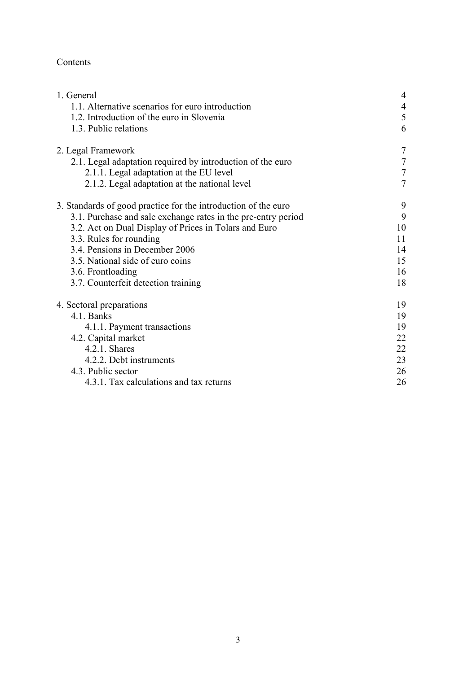# Contents

| 1. General                                                     | $\overline{4}$ |
|----------------------------------------------------------------|----------------|
| 1.1. Alternative scenarios for euro introduction               | $\overline{4}$ |
| 1.2. Introduction of the euro in Slovenia                      | 5              |
| 1.3. Public relations                                          | 6              |
| 2. Legal Framework                                             | 7              |
| 2.1. Legal adaptation required by introduction of the euro     | $\tau$         |
| 2.1.1. Legal adaptation at the EU level                        | 7              |
| 2.1.2. Legal adaptation at the national level                  | $\overline{7}$ |
| 3. Standards of good practice for the introduction of the euro | 9              |
| 3.1. Purchase and sale exchange rates in the pre-entry period  | 9              |
| 3.2. Act on Dual Display of Prices in Tolars and Euro          | 10             |
| 3.3. Rules for rounding                                        | 11             |
| 3.4. Pensions in December 2006                                 | 14             |
| 3.5. National side of euro coins                               | 15             |
| 3.6. Frontloading                                              | 16             |
| 3.7. Counterfeit detection training                            | 18             |
| 4. Sectoral preparations                                       | 19             |
| 4.1. Banks                                                     | 19             |
| 4.1.1. Payment transactions                                    | 19             |
| 4.2. Capital market                                            | 22             |
| 4.2.1. Shares                                                  | 22             |
| 4.2.2. Debt instruments                                        | 23             |
| 4.3. Public sector                                             | 26             |
| 4.3.1. Tax calculations and tax returns                        | 26             |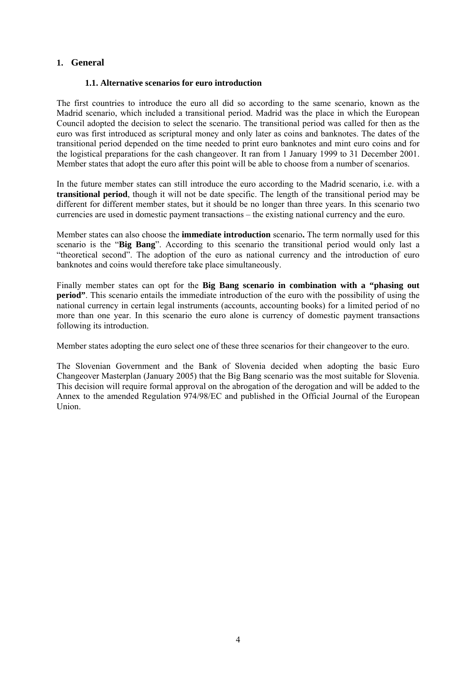#### **1. General**

#### **1.1. Alternative scenarios for euro introduction**

The first countries to introduce the euro all did so according to the same scenario, known as the Madrid scenario, which included a transitional period. Madrid was the place in which the European Council adopted the decision to select the scenario. The transitional period was called for then as the euro was first introduced as scriptural money and only later as coins and banknotes. The dates of the transitional period depended on the time needed to print euro banknotes and mint euro coins and for the logistical preparations for the cash changeover. It ran from 1 January 1999 to 31 December 2001. Member states that adopt the euro after this point will be able to choose from a number of scenarios.

In the future member states can still introduce the euro according to the Madrid scenario, i.e. with a **transitional period**, though it will not be date specific. The length of the transitional period may be different for different member states, but it should be no longer than three years. In this scenario two currencies are used in domestic payment transactions – the existing national currency and the euro.

Member states can also choose the **immediate introduction** scenario**.** The term normally used for this scenario is the "**Big Bang**". According to this scenario the transitional period would only last a "theoretical second". The adoption of the euro as national currency and the introduction of euro banknotes and coins would therefore take place simultaneously.

Finally member states can opt for the **Big Bang scenario in combination with a "phasing out period**". This scenario entails the immediate introduction of the euro with the possibility of using the national currency in certain legal instruments (accounts, accounting books) for a limited period of no more than one year. In this scenario the euro alone is currency of domestic payment transactions following its introduction.

Member states adopting the euro select one of these three scenarios for their changeover to the euro.

The Slovenian Government and the Bank of Slovenia decided when adopting the basic Euro Changeover Masterplan (January 2005) that the Big Bang scenario was the most suitable for Slovenia. This decision will require formal approval on the abrogation of the derogation and will be added to the Annex to the amended Regulation 974/98/EC and published in the Official Journal of the European Union.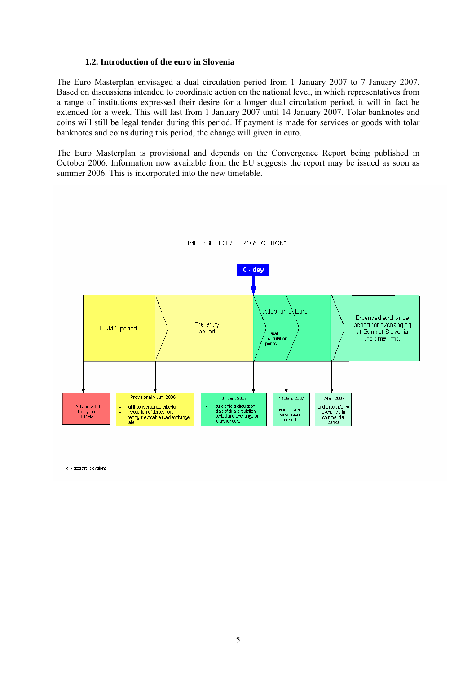#### **1.2. Introduction of the euro in Slovenia**

The Euro Masterplan envisaged a dual circulation period from 1 January 2007 to 7 January 2007. Based on discussions intended to coordinate action on the national level, in which representatives from a range of institutions expressed their desire for a longer dual circulation period, it will in fact be extended for a week. This will last from 1 January 2007 until 14 January 2007. Tolar banknotes and coins will still be legal tender during this period. If payment is made for services or goods with tolar banknotes and coins during this period, the change will given in euro.

The Euro Masterplan is provisional and depends on the Convergence Report being published in October 2006. Information now available from the EU suggests the report may be issued as soon as summer 2006. This is incorporated into the new timetable.



\* all dates are provisional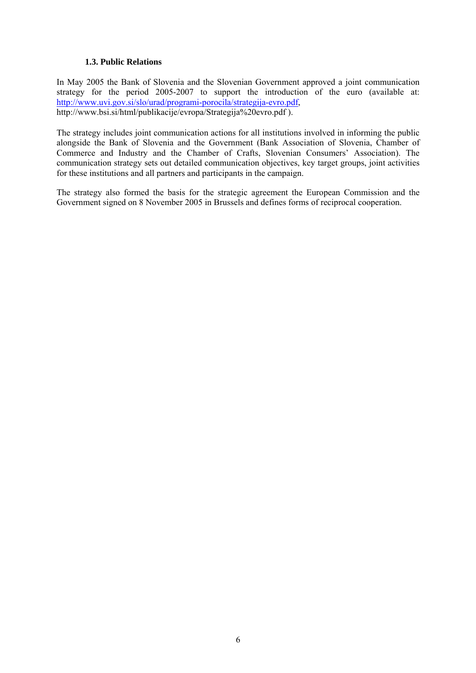#### **1.3. Public Relations**

In May 2005 the Bank of Slovenia and the Slovenian Government approved a joint communication strategy for the period 2005-2007 to support the introduction of the euro (available at: [http://www.uvi.gov.si/slo/urad/programi-porocila/strategija-evro.pdf,](http://www.uvi.gov.si/slo/urad/programi-porocila/strategija-evro.pdf) http://www.bsi.si/html/publikacije/evropa/Strategija%20evro.pdf ).

The strategy includes joint communication actions for all institutions involved in informing the public alongside the Bank of Slovenia and the Government (Bank Association of Slovenia, Chamber of Commerce and Industry and the Chamber of Crafts, Slovenian Consumers' Association). The communication strategy sets out detailed communication objectives, key target groups, joint activities for these institutions and all partners and participants in the campaign.

The strategy also formed the basis for the strategic agreement the European Commission and the Government signed on 8 November 2005 in Brussels and defines forms of reciprocal cooperation.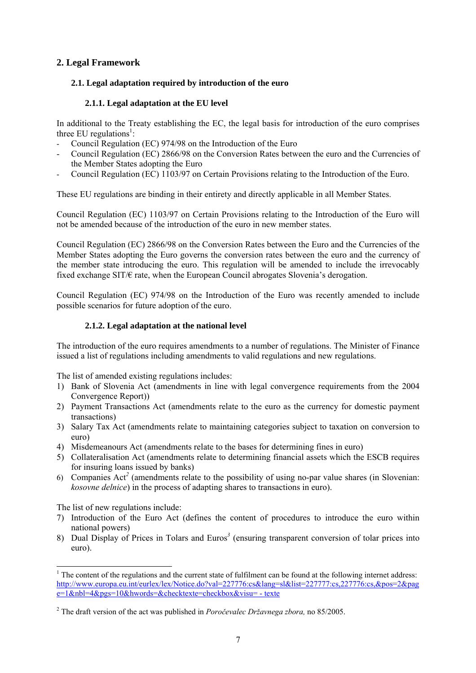## **2. Legal Framework**

#### **2.1. Legal adaptation required by introduction of the euro**

#### **2.1.1. Legal adaptation at the EU level**

In additional to the Treaty establishing the EC, the legal basis for introduction of the euro comprises three EU regulations<sup>[1](#page-6-0)</sup>:

- Council Regulation (EC) 974/98 on the Introduction of the Euro
- Council Regulation (EC) 2866/98 on the Conversion Rates between the euro and the Currencies of the Member States adopting the Euro
- Council Regulation (EC) 1103/97 on Certain Provisions relating to the Introduction of the Euro.

These EU regulations are binding in their entirety and directly applicable in all Member States.

Council Regulation (EC) 1103/97 on Certain Provisions relating to the Introduction of the Euro will not be amended because of the introduction of the euro in new member states.

Council Regulation (EC) 2866/98 on the Conversion Rates between the Euro and the Currencies of the Member States adopting the Euro governs the conversion rates between the euro and the currency of the member state introducing the euro. This regulation will be amended to include the irrevocably fixed exchange SIT/ $\epsilon$  rate, when the European Council abrogates Slovenia's derogation.

Council Regulation (EC) 974/98 on the Introduction of the Euro was recently amended to include possible scenarios for future adoption of the euro.

#### **2.1.2. Legal adaptation at the national level**

The introduction of the euro requires amendments to a number of regulations. The Minister of Finance issued a list of regulations including amendments to valid regulations and new regulations.

The list of amended existing regulations includes:

- 1) Bank of Slovenia Act (amendments in line with legal convergence requirements from the 2004 Convergence Report))
- 2) Payment Transactions Act (amendments relate to the euro as the currency for domestic payment transactions)
- 3) Salary Tax Act (amendments relate to maintaining categories subject to taxation on conversion to euro)
- 4) Misdemeanours Act (amendments relate to the bases for determining fines in euro)
- 5) Collateralisation Act (amendments relate to determining financial assets which the ESCB requires for insuring loans issued by banks)
- 6) Companies Act *[2](#page-6-1)* (amendments relate to the possibility of using no-par value shares (in Slovenian: *kosovne delnice*) in the process of adapting shares to transactions in euro).

The list of new regulations include:

- 7) Introduction of the Euro Act (defines the content of procedures to introduce the euro within national powers)
- 8) Dual Display of Prices in Tolars and Euros*[3](#page-6-2)* (ensuring transparent conversion of tolar prices into euro).

<span id="page-6-0"></span> $\frac{1}{1}$ <sup>1</sup> The content of the regulations and the current state of fulfilment can be found at the following internet address: http://www.europa.eu.int/eurlex/lex/Notice.do?val=227776:cs&lang=sl&list=227777:cs,227776:cs,&pos=2&pag e=1&nbl=4&pgs=10&hwords=&checktexte=checkbox&visu= - texte

<span id="page-6-2"></span><span id="page-6-1"></span><sup>2</sup> The draft version of the act was published in *Poročevalec Državnega zbora,* no 85/2005.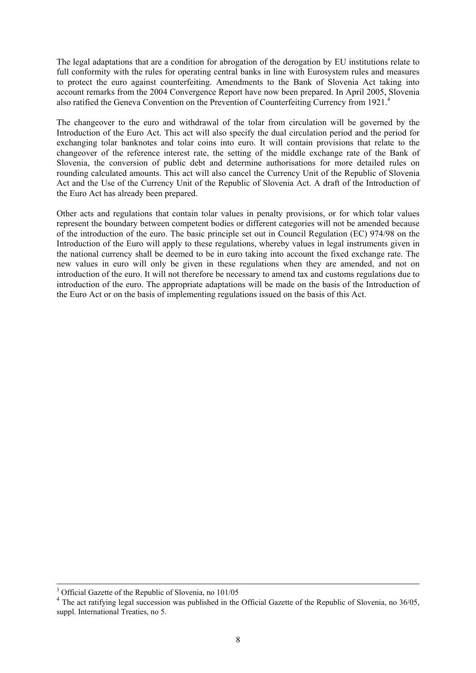The legal adaptations that are a condition for abrogation of the derogation by EU institutions relate to full conformity with the rules for operating central banks in line with Eurosystem rules and measures to protect the euro against counterfeiting. Amendments to the Bank of Slovenia Act taking into account remarks from the 2004 Convergence Report have now been prepared. In April 2005, Slovenia also ratified the Geneva Convention on the Prevention of Counterfeiting Currency from 1921.<sup>4</sup>

The changeover to the euro and withdrawal of the tolar from circulation will be governed by the Introduction of the Euro Act. This act will also specify the dual circulation period and the period for exchanging tolar banknotes and tolar coins into euro. It will contain provisions that relate to the changeover of the reference interest rate, the setting of the middle exchange rate of the Bank of Slovenia, the conversion of public debt and determine authorisations for more detailed rules on rounding calculated amounts. This act will also cancel the Currency Unit of the Republic of Slovenia Act and the Use of the Currency Unit of the Republic of Slovenia Act. A draft of the Introduction of the Euro Act has already been prepared.

Other acts and regulations that contain tolar values in penalty provisions, or for which tolar values represent the boundary between competent bodies or different categories will not be amended because of the introduction of the euro. The basic principle set out in Council Regulation (EC) 974/98 on the Introduction of the Euro will apply to these regulations, whereby values in legal instruments given in the national currency shall be deemed to be in euro taking into account the fixed exchange rate. The new values in euro will only be given in these regulations when they are amended, and not on introduction of the euro. It will not therefore be necessary to amend tax and customs regulations due to introduction of the euro. The appropriate adaptations will be made on the basis of the Introduction of the Euro Act or on the basis of implementing regulations issued on the basis of this Act.

<sup>-&</sup>lt;br>3 <sup>3</sup> Official Gazette of the Republic of Slovenia, no 101/05

<span id="page-7-0"></span><sup>&</sup>lt;sup>4</sup> The act ratifying legal succession was published in the Official Gazette of the Republic of Slovenia, no 36/05, suppl. International Treaties, no 5.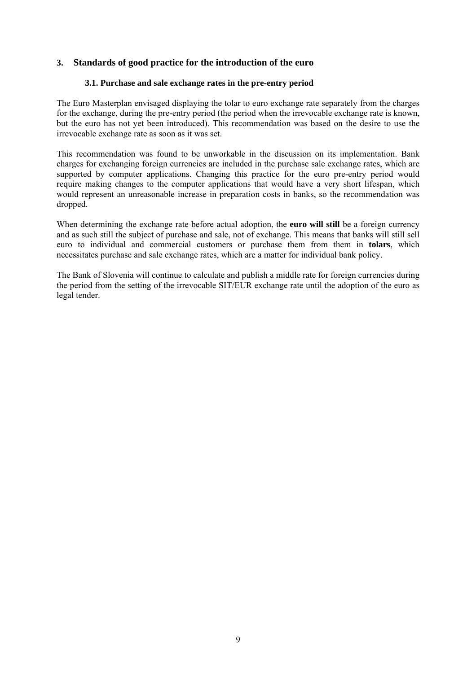### **3. Standards of good practice for the introduction of the euro**

#### **3.1. Purchase and sale exchange rates in the pre-entry period**

The Euro Masterplan envisaged displaying the tolar to euro exchange rate separately from the charges for the exchange, during the pre-entry period (the period when the irrevocable exchange rate is known, but the euro has not yet been introduced). This recommendation was based on the desire to use the irrevocable exchange rate as soon as it was set.

This recommendation was found to be unworkable in the discussion on its implementation. Bank charges for exchanging foreign currencies are included in the purchase sale exchange rates, which are supported by computer applications. Changing this practice for the euro pre-entry period would require making changes to the computer applications that would have a very short lifespan, which would represent an unreasonable increase in preparation costs in banks, so the recommendation was dropped.

When determining the exchange rate before actual adoption, the **euro will still** be a foreign currency and as such still the subject of purchase and sale, not of exchange. This means that banks will still sell euro to individual and commercial customers or purchase them from them in **tolars**, which necessitates purchase and sale exchange rates, which are a matter for individual bank policy.

The Bank of Slovenia will continue to calculate and publish a middle rate for foreign currencies during the period from the setting of the irrevocable SIT/EUR exchange rate until the adoption of the euro as legal tender.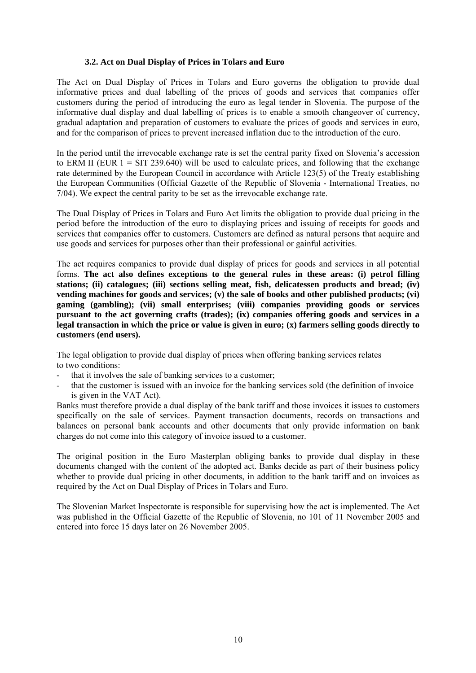#### **3.2. Act on Dual Display of Prices in Tolars and Euro**

The Act on Dual Display of Prices in Tolars and Euro governs the obligation to provide dual informative prices and dual labelling of the prices of goods and services that companies offer customers during the period of introducing the euro as legal tender in Slovenia. The purpose of the informative dual display and dual labelling of prices is to enable a smooth changeover of currency, gradual adaptation and preparation of customers to evaluate the prices of goods and services in euro, and for the comparison of prices to prevent increased inflation due to the introduction of the euro.

In the period until the irrevocable exchange rate is set the central parity fixed on Slovenia's accession to ERM II (EUR  $1 = SIT 239.640$ ) will be used to calculate prices, and following that the exchange rate determined by the European Council in accordance with Article 123(5) of the Treaty establishing the European Communities (Official Gazette of the Republic of Slovenia - International Treaties, no 7/04). We expect the central parity to be set as the irrevocable exchange rate.

The Dual Display of Prices in Tolars and Euro Act limits the obligation to provide dual pricing in the period before the introduction of the euro to displaying prices and issuing of receipts for goods and services that companies offer to customers. Customers are defined as natural persons that acquire and use goods and services for purposes other than their professional or gainful activities.

The act requires companies to provide dual display of prices for goods and services in all potential forms. **The act also defines exceptions to the general rules in these areas: (i) petrol filling stations; (ii) catalogues; (iii) sections selling meat, fish, delicatessen products and bread; (iv) vending machines for goods and services; (v) the sale of books and other published products; (vi) gaming (gambling); (vii) small enterprises; (viii) companies providing goods or services pursuant to the act governing crafts (trades); (ix) companies offering goods and services in a legal transaction in which the price or value is given in euro; (x) farmers selling goods directly to customers (end users).** 

The legal obligation to provide dual display of prices when offering banking services relates to two conditions:

- that it involves the sale of banking services to a customer;
- that the customer is issued with an invoice for the banking services sold (the definition of invoice is given in the VAT Act).

Banks must therefore provide a dual display of the bank tariff and those invoices it issues to customers specifically on the sale of services. Payment transaction documents, records on transactions and balances on personal bank accounts and other documents that only provide information on bank charges do not come into this category of invoice issued to a customer.

The original position in the Euro Masterplan obliging banks to provide dual display in these documents changed with the content of the adopted act. Banks decide as part of their business policy whether to provide dual pricing in other documents, in addition to the bank tariff and on invoices as required by the Act on Dual Display of Prices in Tolars and Euro.

The Slovenian Market Inspectorate is responsible for supervising how the act is implemented. The Act was published in the Official Gazette of the Republic of Slovenia, no 101 of 11 November 2005 and entered into force 15 days later on 26 November 2005.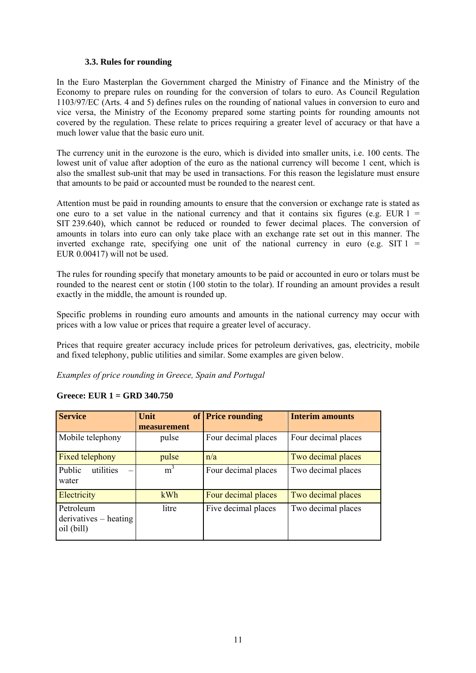#### **3.3. Rules for rounding**

In the Euro Masterplan the Government charged the Ministry of Finance and the Ministry of the Economy to prepare rules on rounding for the conversion of tolars to euro. As Council Regulation 1103/97/EC (Arts. 4 and 5) defines rules on the rounding of national values in conversion to euro and vice versa, the Ministry of the Economy prepared some starting points for rounding amounts not covered by the regulation. These relate to prices requiring a greater level of accuracy or that have a much lower value that the basic euro unit.

The currency unit in the eurozone is the euro, which is divided into smaller units, i.e. 100 cents. The lowest unit of value after adoption of the euro as the national currency will become 1 cent, which is also the smallest sub-unit that may be used in transactions. For this reason the legislature must ensure that amounts to be paid or accounted must be rounded to the nearest cent.

Attention must be paid in rounding amounts to ensure that the conversion or exchange rate is stated as one euro to a set value in the national currency and that it contains six figures (e.g. EUR  $1 =$ SIT 239.640), which cannot be reduced or rounded to fewer decimal places. The conversion of amounts in tolars into euro can only take place with an exchange rate set out in this manner. The inverted exchange rate, specifying one unit of the national currency in euro (e.g. SIT  $1 =$ EUR 0.00417) will not be used.

The rules for rounding specify that monetary amounts to be paid or accounted in euro or tolars must be rounded to the nearest cent or stotin (100 stotin to the tolar). If rounding an amount provides a result exactly in the middle, the amount is rounded up.

Specific problems in rounding euro amounts and amounts in the national currency may occur with prices with a low value or prices that require a greater level of accuracy.

Prices that require greater accuracy include prices for petroleum derivatives, gas, electricity, mobile and fixed telephony, public utilities and similar. Some examples are given below.

*Examples of price rounding in Greece, Spain and Portugal* 

| <b>Service</b>                                     | Unit<br>of     | <b>Price rounding</b> | <b>Interim amounts</b> |  |
|----------------------------------------------------|----------------|-----------------------|------------------------|--|
|                                                    | measurement    |                       |                        |  |
| Mobile telephony                                   | pulse          | Four decimal places   | Four decimal places    |  |
| Fixed telephony                                    | pulse          | n/a                   | Two decimal places     |  |
| Public<br>utilities<br>water                       | m <sup>3</sup> | Four decimal places   | Two decimal places     |  |
| Electricity                                        | kWh            | Four decimal places   | Two decimal places     |  |
| Petroleum<br>$derivatives - heating$<br>oil (bill) | litre          | Five decimal places   | Two decimal places     |  |

#### **Greece: EUR 1 = GRD 340.750**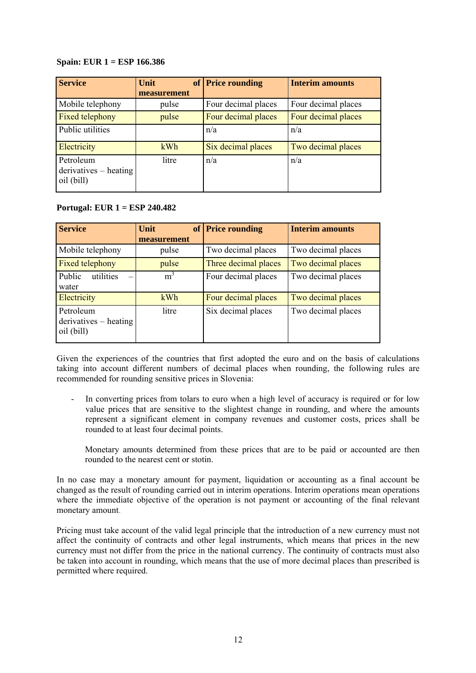#### **Spain: EUR 1 = ESP 166.386**

| <b>Service</b>                                     | <b>Unit</b> | of Price rounding   | <b>Interim amounts</b> |  |
|----------------------------------------------------|-------------|---------------------|------------------------|--|
|                                                    | measurement |                     |                        |  |
| Mobile telephony                                   | pulse       | Four decimal places | Four decimal places    |  |
| Fixed telephony                                    | pulse       | Four decimal places | Four decimal places    |  |
| Public utilities                                   |             | n/a                 | n/a                    |  |
| Electricity                                        | kWh         | Six decimal places  | Two decimal places     |  |
| Petroleum<br>$derivatives - heating$<br>oil (bill) | litre       | n/a                 | n/a                    |  |

#### **Portugal: EUR 1 = ESP 240.482**

| <b>Service</b>          | <b>Unit</b>    | of Price rounding    | <b>Interim amounts</b> |  |
|-------------------------|----------------|----------------------|------------------------|--|
|                         | measurement    |                      |                        |  |
| Mobile telephony        | pulse          | Two decimal places   | Two decimal places     |  |
| Fixed telephony         | pulse          | Three decimal places | Two decimal places     |  |
| Public<br>utilities     | m <sup>3</sup> | Four decimal places  | Two decimal places     |  |
| water                   |                |                      |                        |  |
| Electricity             | kWh            | Four decimal places  | Two decimal places     |  |
| Petroleum               | litre          | Six decimal places   | Two decimal places     |  |
| $derivatives - heating$ |                |                      |                        |  |
| oil (bill)              |                |                      |                        |  |

Given the experiences of the countries that first adopted the euro and on the basis of calculations taking into account different numbers of decimal places when rounding, the following rules are recommended for rounding sensitive prices in Slovenia:

- In converting prices from tolars to euro when a high level of accuracy is required or for low value prices that are sensitive to the slightest change in rounding, and where the amounts represent a significant element in company revenues and customer costs, prices shall be rounded to at least four decimal points.

Monetary amounts determined from these prices that are to be paid or accounted are then rounded to the nearest cent or stotin.

In no case may a monetary amount for payment, liquidation or accounting as a final account be changed as the result of rounding carried out in interim operations. Interim operations mean operations where the immediate objective of the operation is not payment or accounting of the final relevant monetary amount.

Pricing must take account of the valid legal principle that the introduction of a new currency must not affect the continuity of contracts and other legal instruments, which means that prices in the new currency must not differ from the price in the national currency. The continuity of contracts must also be taken into account in rounding, which means that the use of more decimal places than prescribed is permitted where required.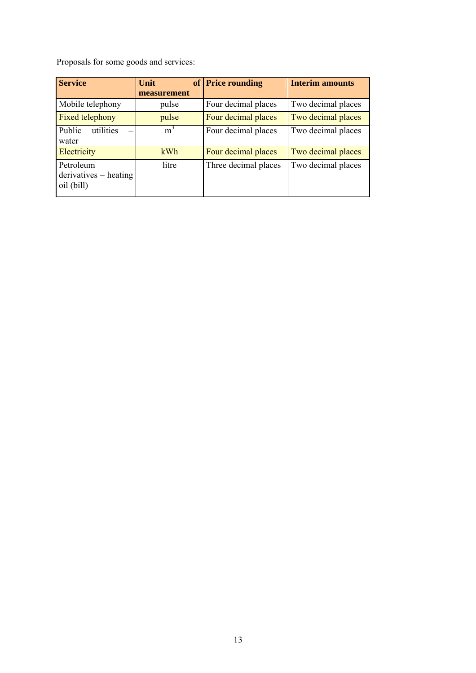Proposals for some goods and services:

| <b>Service</b>                                     | Unit<br>measurement | of Price rounding    | <b>Interim amounts</b> |  |
|----------------------------------------------------|---------------------|----------------------|------------------------|--|
| Mobile telephony                                   | pulse               | Four decimal places  | Two decimal places     |  |
| Fixed telephony                                    | pulse               | Four decimal places  | Two decimal places     |  |
| Public<br>utilities<br>water                       | $m^3$               | Four decimal places  | Two decimal places     |  |
| Electricity                                        | kWh                 | Four decimal places  | Two decimal places     |  |
| Petroleum<br>$derivatives - heating$<br>oil (bill) | litre               | Three decimal places | Two decimal places     |  |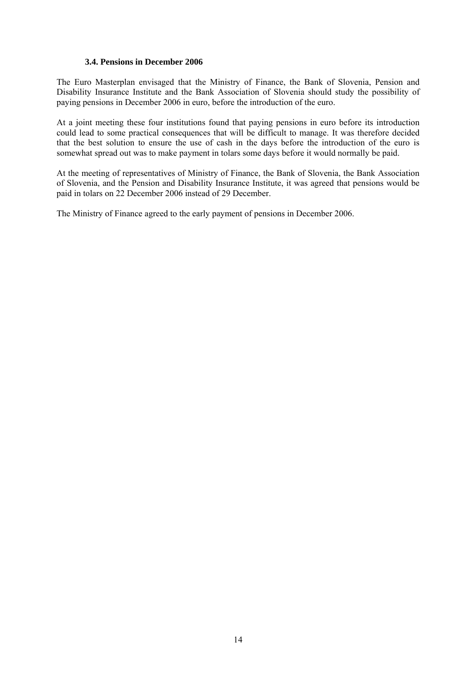#### **3.4. Pensions in December 2006**

The Euro Masterplan envisaged that the Ministry of Finance, the Bank of Slovenia, Pension and Disability Insurance Institute and the Bank Association of Slovenia should study the possibility of paying pensions in December 2006 in euro, before the introduction of the euro.

At a joint meeting these four institutions found that paying pensions in euro before its introduction could lead to some practical consequences that will be difficult to manage. It was therefore decided that the best solution to ensure the use of cash in the days before the introduction of the euro is somewhat spread out was to make payment in tolars some days before it would normally be paid.

At the meeting of representatives of Ministry of Finance, the Bank of Slovenia, the Bank Association of Slovenia, and the Pension and Disability Insurance Institute, it was agreed that pensions would be paid in tolars on 22 December 2006 instead of 29 December.

The Ministry of Finance agreed to the early payment of pensions in December 2006.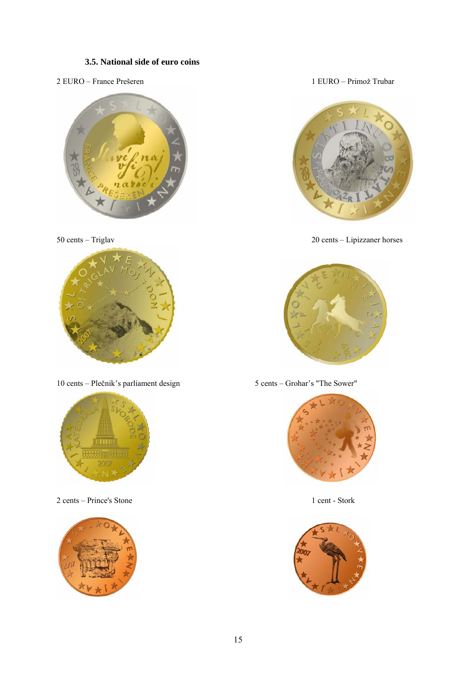#### **3.5. National side of euro coins**

2 EURO – France Prešeren 1 EURO – Primož Trubar





10 cents – Plečnik's parliament design 5 cents – Grohar's "The Sower"



2 cents – Prince's Stone 1 cent - Stork





50 cents – Triglav 20 cents – Lipizzaner horses





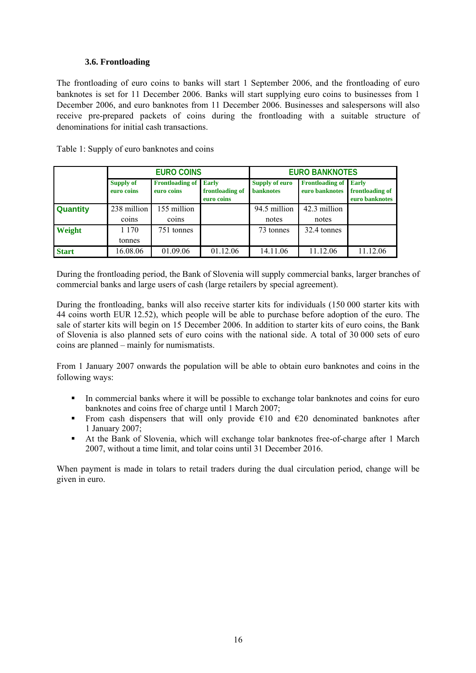#### **3.6. Frontloading**

The frontloading of euro coins to banks will start 1 September 2006, and the frontloading of euro banknotes is set for 11 December 2006. Banks will start supplying euro coins to businesses from 1 December 2006, and euro banknotes from 11 December 2006. Businesses and salespersons will also receive pre-prepared packets of coins during the frontloading with a suitable structure of denominations for initial cash transactions.

| Table 1: Supply of euro banknotes and coins |  |
|---------------------------------------------|--|
|                                             |  |

|                 | <b>EURO COINS</b>              |                                            | <b>EURO BANKNOTES</b>         |                                    |                                          |                                                   |
|-----------------|--------------------------------|--------------------------------------------|-------------------------------|------------------------------------|------------------------------------------|---------------------------------------------------|
|                 | <b>Supply of</b><br>euro coins | <b>Frontloading of Early</b><br>euro coins | frontloading of<br>euro coins | Supply of euro<br><b>banknotes</b> | <b>Frontloading of</b><br>euro banknotes | <b>Early</b><br>frontloading of<br>euro banknotes |
| <b>Quantity</b> | 238 million                    | 155 million                                |                               | 94.5 million                       | 42.3 million                             |                                                   |
|                 | coins                          | coins                                      |                               | notes                              | notes                                    |                                                   |
| Weight          | 1 1 7 0                        | 751 tonnes                                 |                               | 73 tonnes                          | 32.4 tonnes                              |                                                   |
|                 | tonnes                         |                                            |                               |                                    |                                          |                                                   |
| <b>Start</b>    | 16.08.06                       | 01.09.06                                   | 01.12.06                      | 14.11.06                           | 11.12.06                                 | 11.12.06                                          |

During the frontloading period, the Bank of Slovenia will supply commercial banks, larger branches of commercial banks and large users of cash (large retailers by special agreement).

During the frontloading, banks will also receive starter kits for individuals (150 000 starter kits with 44 coins worth EUR 12.52), which people will be able to purchase before adoption of the euro. The sale of starter kits will begin on 15 December 2006. In addition to starter kits of euro coins, the Bank of Slovenia is also planned sets of euro coins with the national side. A total of 30 000 sets of euro coins are planned – mainly for numismatists.

From 1 January 2007 onwards the population will be able to obtain euro banknotes and coins in the following ways:

- In commercial banks where it will be possible to exchange tolar banknotes and coins for euro banknotes and coins free of charge until 1 March 2007;
- From cash dispensers that will only provide  $\epsilon$ 10 and  $\epsilon$ 20 denominated banknotes after 1 January 2007;
- At the Bank of Slovenia, which will exchange tolar banknotes free-of-charge after 1 March 2007, without a time limit, and tolar coins until 31 December 2016.

When payment is made in tolars to retail traders during the dual circulation period, change will be given in euro.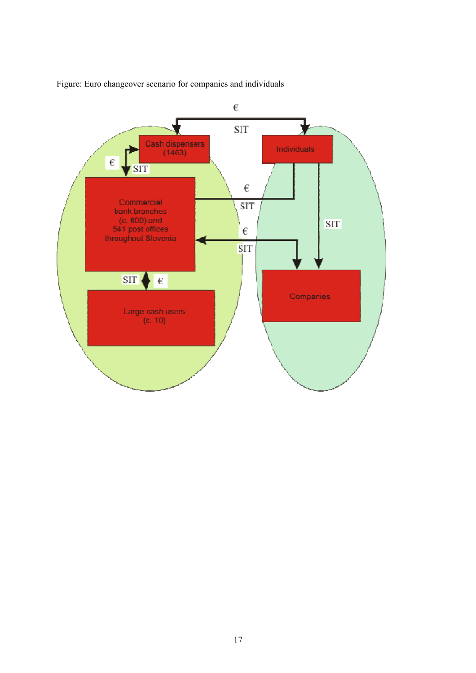

Figure: Euro changeover scenario for companies and individuals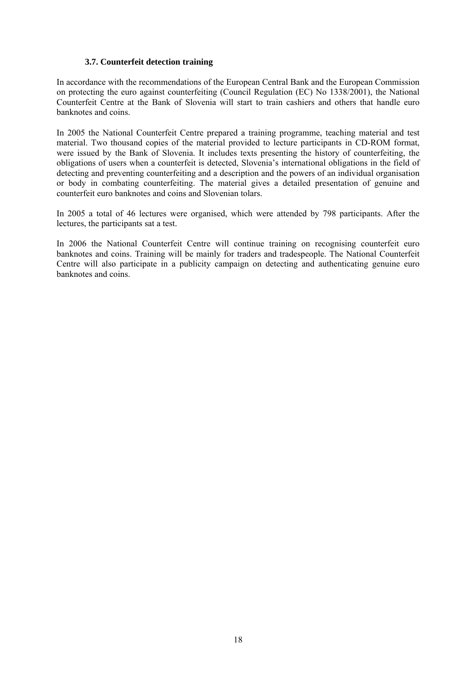#### **3.7. Counterfeit detection training**

In accordance with the recommendations of the European Central Bank and the European Commission on protecting the euro against counterfeiting (Council Regulation (EC) No 1338/2001), the National Counterfeit Centre at the Bank of Slovenia will start to train cashiers and others that handle euro banknotes and coins.

In 2005 the National Counterfeit Centre prepared a training programme, teaching material and test material. Two thousand copies of the material provided to lecture participants in CD-ROM format, were issued by the Bank of Slovenia. It includes texts presenting the history of counterfeiting, the obligations of users when a counterfeit is detected, Slovenia's international obligations in the field of detecting and preventing counterfeiting and a description and the powers of an individual organisation or body in combating counterfeiting. The material gives a detailed presentation of genuine and counterfeit euro banknotes and coins and Slovenian tolars.

In 2005 a total of 46 lectures were organised, which were attended by 798 participants. After the lectures, the participants sat a test.

In 2006 the National Counterfeit Centre will continue training on recognising counterfeit euro banknotes and coins. Training will be mainly for traders and tradespeople. The National Counterfeit Centre will also participate in a publicity campaign on detecting and authenticating genuine euro banknotes and coins.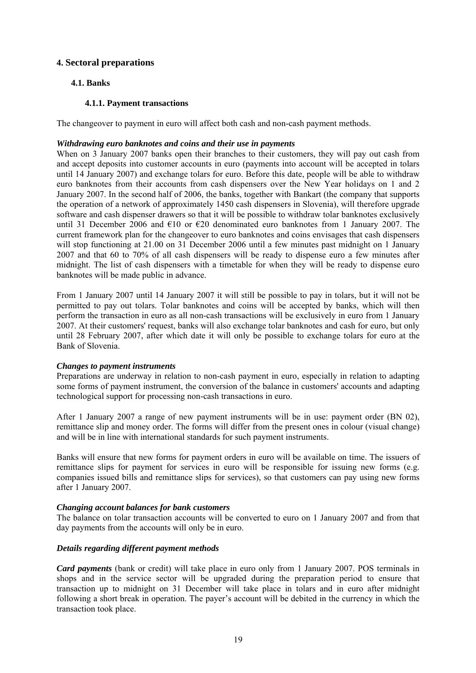#### **4. Sectoral preparations**

#### **4.1. Banks**

#### **4.1.1. Payment transactions**

The changeover to payment in euro will affect both cash and non-cash payment methods.

#### *Withdrawing euro banknotes and coins and their use in payments*

When on 3 January 2007 banks open their branches to their customers, they will pay out cash from and accept deposits into customer accounts in euro (payments into account will be accepted in tolars until 14 January 2007) and exchange tolars for euro. Before this date, people will be able to withdraw euro banknotes from their accounts from cash dispensers over the New Year holidays on 1 and 2 January 2007. In the second half of 2006, the banks, together with Bankart (the company that supports the operation of a network of approximately 1450 cash dispensers in Slovenia), will therefore upgrade software and cash dispenser drawers so that it will be possible to withdraw tolar banknotes exclusively until 31 December 2006 and  $\epsilon$ 10 or  $\epsilon$ 20 denominated euro banknotes from 1 January 2007. The current framework plan for the changeover to euro banknotes and coins envisages that cash dispensers will stop functioning at 21.00 on 31 December 2006 until a few minutes past midnight on 1 January 2007 and that 60 to 70% of all cash dispensers will be ready to dispense euro a few minutes after midnight. The list of cash dispensers with a timetable for when they will be ready to dispense euro banknotes will be made public in advance.

From 1 January 2007 until 14 January 2007 it will still be possible to pay in tolars, but it will not be permitted to pay out tolars. Tolar banknotes and coins will be accepted by banks, which will then perform the transaction in euro as all non-cash transactions will be exclusively in euro from 1 January 2007. At their customers' request, banks will also exchange tolar banknotes and cash for euro, but only until 28 February 2007, after which date it will only be possible to exchange tolars for euro at the Bank of Slovenia.

#### *Changes to payment instruments*

Preparations are underway in relation to non-cash payment in euro, especially in relation to adapting some forms of payment instrument, the conversion of the balance in customers' accounts and adapting technological support for processing non-cash transactions in euro.

After 1 January 2007 a range of new payment instruments will be in use: payment order (BN 02), remittance slip and money order. The forms will differ from the present ones in colour (visual change) and will be in line with international standards for such payment instruments.

Banks will ensure that new forms for payment orders in euro will be available on time. The issuers of remittance slips for payment for services in euro will be responsible for issuing new forms (e.g. companies issued bills and remittance slips for services), so that customers can pay using new forms after 1 January 2007.

#### *Changing account balances for bank customers*

The balance on tolar transaction accounts will be converted to euro on 1 January 2007 and from that day payments from the accounts will only be in euro.

#### *Details regarding different payment methods*

*Card payments* (bank or credit) will take place in euro only from 1 January 2007. POS terminals in shops and in the service sector will be upgraded during the preparation period to ensure that transaction up to midnight on 31 December will take place in tolars and in euro after midnight following a short break in operation. The payer's account will be debited in the currency in which the transaction took place.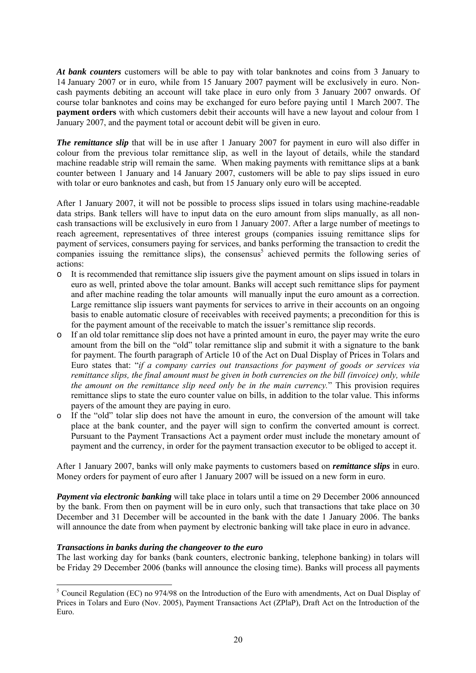*At bank counters* customers will be able to pay with tolar banknotes and coins from 3 January to 14 January 2007 or in euro, while from 15 January 2007 payment will be exclusively in euro. Noncash payments debiting an account will take place in euro only from 3 January 2007 onwards. Of course tolar banknotes and coins may be exchanged for euro before paying until 1 March 2007. The **payment orders** with which customers debit their accounts will have a new layout and colour from 1 January 2007, and the payment total or account debit will be given in euro.

*The remittance slip* that will be in use after 1 January 2007 for payment in euro will also differ in colour from the previous tolar remittance slip, as well in the layout of details, while the standard machine readable strip will remain the same. When making payments with remittance slips at a bank counter between 1 January and 14 January 2007, customers will be able to pay slips issued in euro with tolar or euro banknotes and cash, but from 15 January only euro will be accepted.

After 1 January 2007, it will not be possible to process slips issued in tolars using machine-readable data strips. Bank tellers will have to input data on the euro amount from slips manually, as all noncash transactions will be exclusively in euro from 1 January 2007. After a large number of meetings to reach agreement, representatives of three interest groups (companies issuing remittance slips for payment of services, consumers paying for services, and banks performing the transaction to credit the companies issuing the remittance slips), the consensus<sup>[5](#page-19-0)</sup> achieved permits the following series of actions:

- o It is recommended that remittance slip issuers give the payment amount on slips issued in tolars in euro as well, printed above the tolar amount. Banks will accept such remittance slips for payment and after machine reading the tolar amounts will manually input the euro amount as a correction. Large remittance slip issuers want payments for services to arrive in their accounts on an ongoing basis to enable automatic closure of receivables with received payments; a precondition for this is for the payment amount of the receivable to match the issuer's remittance slip records.
- o If an old tolar remittance slip does not have a printed amount in euro, the payer may write the euro amount from the bill on the "old" tolar remittance slip and submit it with a signature to the bank for payment. The fourth paragraph of Article 10 of the Act on Dual Display of Prices in Tolars and Euro states that: "*if a company carries out transactions for payment of goods or services via remittance slips, the final amount must be given in both currencies on the bill (invoice) only, while the amount on the remittance slip need only be in the main currency.*" This provision requires remittance slips to state the euro counter value on bills, in addition to the tolar value. This informs payers of the amount they are paying in euro.
- o If the "old" tolar slip does not have the amount in euro, the conversion of the amount will take place at the bank counter, and the payer will sign to confirm the converted amount is correct. Pursuant to the Payment Transactions Act a payment order must include the monetary amount of payment and the currency, in order for the payment transaction executor to be obliged to accept it.

After 1 January 2007, banks will only make payments to customers based on *remittance slips* in euro. Money orders for payment of euro after 1 January 2007 will be issued on a new form in euro.

*Payment via electronic banking* will take place in tolars until a time on 29 December 2006 announced by the bank. From then on payment will be in euro only, such that transactions that take place on 30 December and 31 December will be accounted in the bank with the date 1 January 2006. The banks will announce the date from when payment by electronic banking will take place in euro in advance.

#### *Transactions in banks during the changeover to the euro*

The last working day for banks (bank counters, electronic banking, telephone banking) in tolars will be Friday 29 December 2006 (banks will announce the closing time). Banks will process all payments

<span id="page-19-0"></span> $\frac{1}{5}$ <sup>5</sup> Council Regulation (EC) no 974/98 on the Introduction of the Euro with amendments, Act on Dual Display of Prices in Tolars and Euro (Nov. 2005), Payment Transactions Act (ZPlaP), Draft Act on the Introduction of the Euro.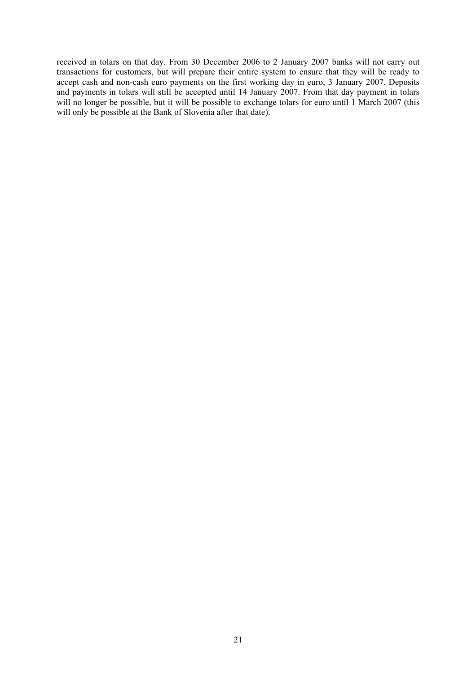received in tolars on that day. From 30 December 2006 to 2 January 2007 banks will not carry out transactions for customers, but will prepare their entire system to ensure that they will be ready to accept cash and non-cash euro payments on the first working day in euro, 3 January 2007. Deposits and payments in tolars will still be accepted until 14 January 2007. From that day payment in tolars will no longer be possible, but it will be possible to exchange tolars for euro until 1 March 2007 (this will only be possible at the Bank of Slovenia after that date).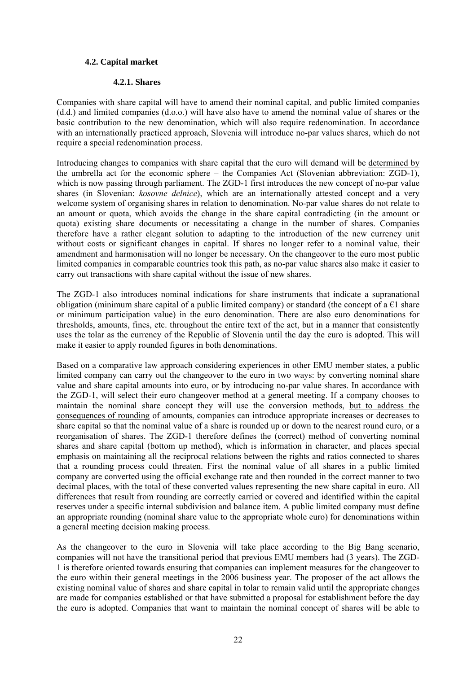#### **4.2. Capital market**

#### **4.2.1. Shares**

Companies with share capital will have to amend their nominal capital, and public limited companies (d.d.) and limited companies (d.o.o.) will have also have to amend the nominal value of shares or the basic contribution to the new denomination, which will also require redenomination. In accordance with an internationally practiced approach, Slovenia will introduce no-par values shares, which do not require a special redenomination process.

Introducing changes to companies with share capital that the euro will demand will be determined by the umbrella act for the economic sphere – the Companies Act (Slovenian abbreviation: ZGD-1), which is now passing through parliament. The ZGD-1 first introduces the new concept of no-par value shares (in Slovenian: *kosovne delnice*), which are an internationally attested concept and a very welcome system of organising shares in relation to denomination. No-par value shares do not relate to an amount or quota, which avoids the change in the share capital contradicting (in the amount or quota) existing share documents or necessitating a change in the number of shares. Companies therefore have a rather elegant solution to adapting to the introduction of the new currency unit without costs or significant changes in capital. If shares no longer refer to a nominal value, their amendment and harmonisation will no longer be necessary. On the changeover to the euro most public limited companies in comparable countries took this path, as no-par value shares also make it easier to carry out transactions with share capital without the issue of new shares.

The ZGD-1 also introduces nominal indications for share instruments that indicate a supranational obligation (minimum share capital of a public limited company) or standard (the concept of a  $\epsilon$ 1 share or minimum participation value) in the euro denomination. There are also euro denominations for thresholds, amounts, fines, etc. throughout the entire text of the act, but in a manner that consistently uses the tolar as the currency of the Republic of Slovenia until the day the euro is adopted. This will make it easier to apply rounded figures in both denominations.

Based on a comparative law approach considering experiences in other EMU member states, a public limited company can carry out the changeover to the euro in two ways: by converting nominal share value and share capital amounts into euro, or by introducing no-par value shares. In accordance with the ZGD-1, will select their euro changeover method at a general meeting. If a company chooses to maintain the nominal share concept they will use the conversion methods, but to address the consequences of rounding of amounts, companies can introduce appropriate increases or decreases to share capital so that the nominal value of a share is rounded up or down to the nearest round euro, or a reorganisation of shares. The ZGD-1 therefore defines the (correct) method of converting nominal shares and share capital (bottom up method), which is information in character, and places special emphasis on maintaining all the reciprocal relations between the rights and ratios connected to shares that a rounding process could threaten. First the nominal value of all shares in a public limited company are converted using the official exchange rate and then rounded in the correct manner to two decimal places, with the total of these converted values representing the new share capital in euro. All differences that result from rounding are correctly carried or covered and identified within the capital reserves under a specific internal subdivision and balance item. A public limited company must define an appropriate rounding (nominal share value to the appropriate whole euro) for denominations within a general meeting decision making process.

As the changeover to the euro in Slovenia will take place according to the Big Bang scenario, companies will not have the transitional period that previous EMU members had (3 years). The ZGD-1 is therefore oriented towards ensuring that companies can implement measures for the changeover to the euro within their general meetings in the 2006 business year. The proposer of the act allows the existing nominal value of shares and share capital in tolar to remain valid until the appropriate changes are made for companies established or that have submitted a proposal for establishment before the day the euro is adopted. Companies that want to maintain the nominal concept of shares will be able to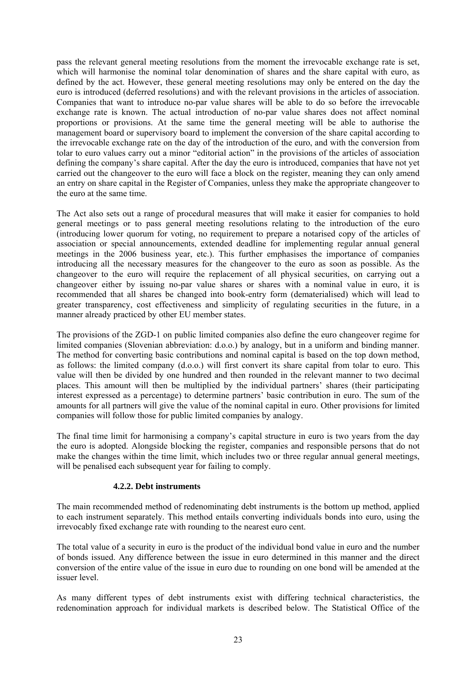pass the relevant general meeting resolutions from the moment the irrevocable exchange rate is set, which will harmonise the nominal tolar denomination of shares and the share capital with euro, as defined by the act. However, these general meeting resolutions may only be entered on the day the euro is introduced (deferred resolutions) and with the relevant provisions in the articles of association. Companies that want to introduce no-par value shares will be able to do so before the irrevocable exchange rate is known. The actual introduction of no-par value shares does not affect nominal proportions or provisions. At the same time the general meeting will be able to authorise the management board or supervisory board to implement the conversion of the share capital according to the irrevocable exchange rate on the day of the introduction of the euro, and with the conversion from tolar to euro values carry out a minor "editorial action" in the provisions of the articles of association defining the company's share capital. After the day the euro is introduced, companies that have not yet carried out the changeover to the euro will face a block on the register, meaning they can only amend an entry on share capital in the Register of Companies, unless they make the appropriate changeover to the euro at the same time.

The Act also sets out a range of procedural measures that will make it easier for companies to hold general meetings or to pass general meeting resolutions relating to the introduction of the euro (introducing lower quorum for voting, no requirement to prepare a notarised copy of the articles of association or special announcements, extended deadline for implementing regular annual general meetings in the 2006 business year, etc.). This further emphasises the importance of companies introducing all the necessary measures for the changeover to the euro as soon as possible. As the changeover to the euro will require the replacement of all physical securities, on carrying out a changeover either by issuing no-par value shares or shares with a nominal value in euro, it is recommended that all shares be changed into book-entry form (dematerialised) which will lead to greater transparency, cost effectiveness and simplicity of regulating securities in the future, in a manner already practiced by other EU member states.

The provisions of the ZGD-1 on public limited companies also define the euro changeover regime for limited companies (Slovenian abbreviation: d.o.o.) by analogy, but in a uniform and binding manner. The method for converting basic contributions and nominal capital is based on the top down method, as follows: the limited company (d.o.o.) will first convert its share capital from tolar to euro. This value will then be divided by one hundred and then rounded in the relevant manner to two decimal places. This amount will then be multiplied by the individual partners' shares (their participating interest expressed as a percentage) to determine partners' basic contribution in euro. The sum of the amounts for all partners will give the value of the nominal capital in euro. Other provisions for limited companies will follow those for public limited companies by analogy.

The final time limit for harmonising a company's capital structure in euro is two years from the day the euro is adopted. Alongside blocking the register, companies and responsible persons that do not make the changes within the time limit, which includes two or three regular annual general meetings, will be penalised each subsequent year for failing to comply.

#### **4.2.2. Debt instruments**

The main recommended method of redenominating debt instruments is the bottom up method, applied to each instrument separately. This method entails converting individuals bonds into euro, using the irrevocably fixed exchange rate with rounding to the nearest euro cent.

The total value of a security in euro is the product of the individual bond value in euro and the number of bonds issued. Any difference between the issue in euro determined in this manner and the direct conversion of the entire value of the issue in euro due to rounding on one bond will be amended at the issuer level.

As many different types of debt instruments exist with differing technical characteristics, the redenomination approach for individual markets is described below. The Statistical Office of the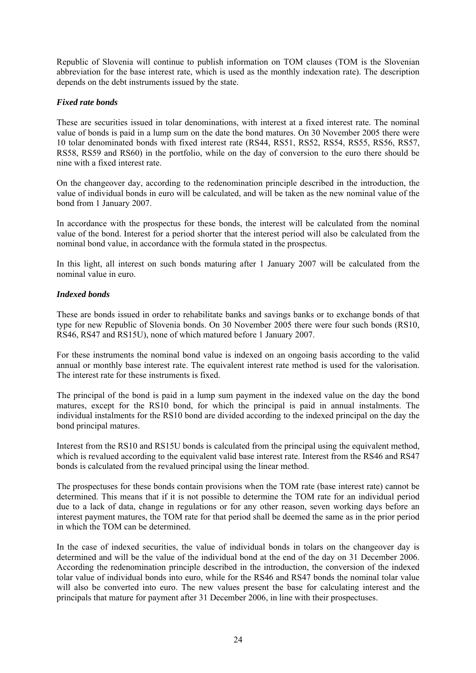Republic of Slovenia will continue to publish information on TOM clauses (TOM is the Slovenian abbreviation for the base interest rate, which is used as the monthly indexation rate). The description depends on the debt instruments issued by the state.

#### *Fixed rate bonds*

These are securities issued in tolar denominations, with interest at a fixed interest rate. The nominal value of bonds is paid in a lump sum on the date the bond matures. On 30 November 2005 there were 10 tolar denominated bonds with fixed interest rate (RS44, RS51, RS52, RS54, RS55, RS56, RS57, RS58, RS59 and RS60) in the portfolio, while on the day of conversion to the euro there should be nine with a fixed interest rate.

On the changeover day, according to the redenomination principle described in the introduction, the value of individual bonds in euro will be calculated, and will be taken as the new nominal value of the bond from 1 January 2007.

In accordance with the prospectus for these bonds, the interest will be calculated from the nominal value of the bond. Interest for a period shorter that the interest period will also be calculated from the nominal bond value, in accordance with the formula stated in the prospectus.

In this light, all interest on such bonds maturing after 1 January 2007 will be calculated from the nominal value in euro.

#### *Indexed bonds*

These are bonds issued in order to rehabilitate banks and savings banks or to exchange bonds of that type for new Republic of Slovenia bonds. On 30 November 2005 there were four such bonds (RS10, RS46, RS47 and RS15U), none of which matured before 1 January 2007.

For these instruments the nominal bond value is indexed on an ongoing basis according to the valid annual or monthly base interest rate. The equivalent interest rate method is used for the valorisation. The interest rate for these instruments is fixed.

The principal of the bond is paid in a lump sum payment in the indexed value on the day the bond matures, except for the RS10 bond, for which the principal is paid in annual instalments. The individual instalments for the RS10 bond are divided according to the indexed principal on the day the bond principal matures.

Interest from the RS10 and RS15U bonds is calculated from the principal using the equivalent method, which is revalued according to the equivalent valid base interest rate. Interest from the RS46 and RS47 bonds is calculated from the revalued principal using the linear method.

The prospectuses for these bonds contain provisions when the TOM rate (base interest rate) cannot be determined. This means that if it is not possible to determine the TOM rate for an individual period due to a lack of data, change in regulations or for any other reason, seven working days before an interest payment matures, the TOM rate for that period shall be deemed the same as in the prior period in which the TOM can be determined.

In the case of indexed securities, the value of individual bonds in tolars on the changeover day is determined and will be the value of the individual bond at the end of the day on 31 December 2006. According the redenomination principle described in the introduction, the conversion of the indexed tolar value of individual bonds into euro, while for the RS46 and RS47 bonds the nominal tolar value will also be converted into euro. The new values present the base for calculating interest and the principals that mature for payment after 31 December 2006, in line with their prospectuses.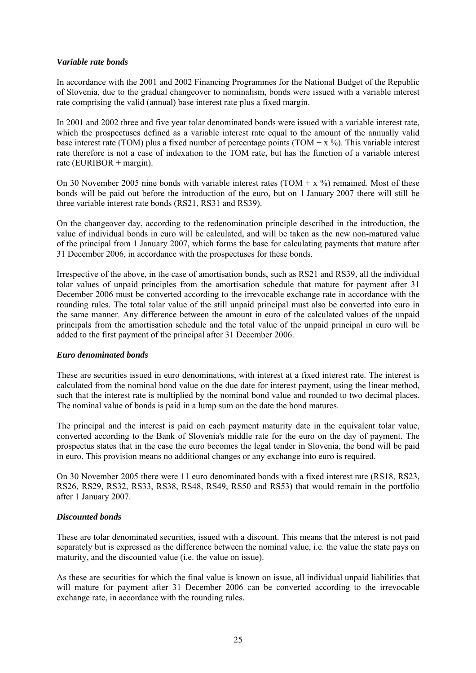#### *Variable rate bonds*

In accordance with the 2001 and 2002 Financing Programmes for the National Budget of the Republic of Slovenia, due to the gradual changeover to nominalism, bonds were issued with a variable interest rate comprising the valid (annual) base interest rate plus a fixed margin.

In 2001 and 2002 three and five year tolar denominated bonds were issued with a variable interest rate, which the prospectuses defined as a variable interest rate equal to the amount of the annually valid base interest rate (TOM) plus a fixed number of percentage points (TOM +  $x$  %). This variable interest rate therefore is not a case of indexation to the TOM rate, but has the function of a variable interest rate (EURIBOR + margin).

On 30 November 2005 nine bonds with variable interest rates (TOM +  $x$  %) remained. Most of these bonds will be paid out before the introduction of the euro, but on 1 January 2007 there will still be three variable interest rate bonds (RS21, RS31 and RS39).

On the changeover day, according to the redenomination principle described in the introduction, the value of individual bonds in euro will be calculated, and will be taken as the new non-matured value of the principal from 1 January 2007, which forms the base for calculating payments that mature after 31 December 2006, in accordance with the prospectuses for these bonds.

Irrespective of the above, in the case of amortisation bonds, such as RS21 and RS39, all the individual tolar values of unpaid principles from the amortisation schedule that mature for payment after 31 December 2006 must be converted according to the irrevocable exchange rate in accordance with the rounding rules. The total tolar value of the still unpaid principal must also be converted into euro in the same manner. Any difference between the amount in euro of the calculated values of the unpaid principals from the amortisation schedule and the total value of the unpaid principal in euro will be added to the first payment of the principal after 31 December 2006.

#### *Euro denominated bonds*

These are securities issued in euro denominations, with interest at a fixed interest rate. The interest is calculated from the nominal bond value on the due date for interest payment, using the linear method, such that the interest rate is multiplied by the nominal bond value and rounded to two decimal places. The nominal value of bonds is paid in a lump sum on the date the bond matures.

The principal and the interest is paid on each payment maturity date in the equivalent tolar value, converted according to the Bank of Slovenia's middle rate for the euro on the day of payment. The prospectus states that in the case the euro becomes the legal tender in Slovenia, the bond will be paid in euro. This provision means no additional changes or any exchange into euro is required.

On 30 November 2005 there were 11 euro denominated bonds with a fixed interest rate (RS18, RS23, RS26, RS29, RS32, RS33, RS38, RS48, RS49, RS50 and RS53) that would remain in the portfolio after 1 January 2007.

#### *Discounted bonds*

These are tolar denominated securities, issued with a discount. This means that the interest is not paid separately but is expressed as the difference between the nominal value, i.e. the value the state pays on maturity, and the discounted value (i.e. the value on issue).

As these are securities for which the final value is known on issue, all individual unpaid liabilities that will mature for payment after 31 December 2006 can be converted according to the irrevocable exchange rate, in accordance with the rounding rules.